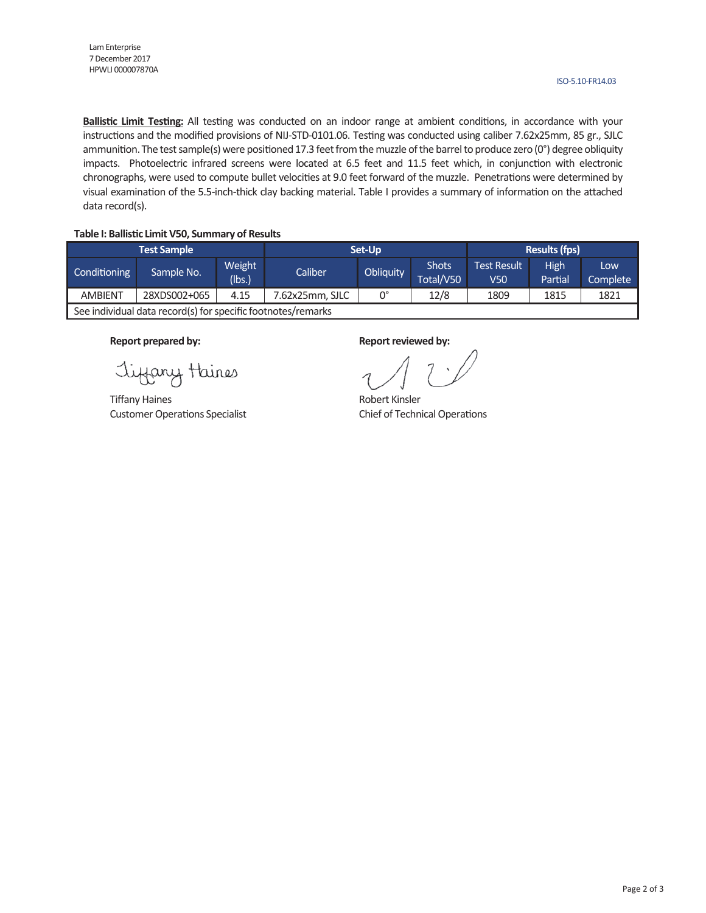**Ballistic Limit Testing:** All testing was conducted on an indoor range at ambient conditions, in accordance with your instructions and the modified provisions of NIJ-STD-0101.06. Testing was conducted using caliber 7.62x25mm, 85 gr., SJLC ammunition. The test sample(s) were positioned 17.3 feet from the muzzle of the barrel to produce zero (0°) degree obliquity impacts. Photoelectric infrared screens were located at 6.5 feet and 11.5 feet which, in conjunction with electronic chronographs, were used to compute bullet velocities at 9.0 feet forward of the muzzle. Penetrations were determined by visual examination of the 5.5-inch-thick clay backing material. Table I provides a summary of information on the attached data record(s).

#### **Table I: Ballis�c Limit V50, Summary of Results**

|                                                              | <b>Test Sample</b> |                  | Set-Up          | <b>Results (fps)</b> |                    |                           |                 |                 |  |  |
|--------------------------------------------------------------|--------------------|------------------|-----------------|----------------------|--------------------|---------------------------|-----------------|-----------------|--|--|
| Conditioning                                                 | Sample No.         | Weight<br>(lbs.) | Caliber         | Obliquity            | Shots<br>Total/V50 | <b>Test Result</b><br>V50 | High<br>Partial | Low<br>Complete |  |  |
| <b>AMBIENT</b>                                               | 28XDS002+065       | 4.15             | 7.62x25mm, SJLC | 0°                   | 12/8               | 1809                      | 1815            | 1821            |  |  |
| See individual data record(s) for specific footnotes/remarks |                    |                  |                 |                      |                    |                           |                 |                 |  |  |

Tiffany Haines

Tiffany Haines **Robert Kinsler** Robert Kinsler Customer Operations Specialist Customer Operations Specialist Chief of Technical Operations

#### **Report prepared by: Report reviewed by: Report reviewed by:**